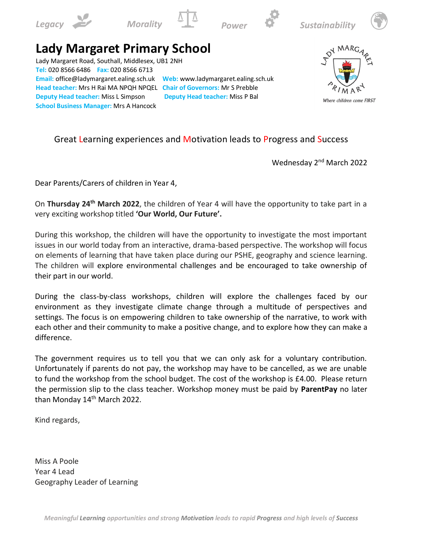









## **Lady Margaret Primary School**

Lady Margaret Road, Southall, Middlesex, UB1 2NH **Tel:** 020 8566 6486 **Fax:** 020 8566 6713 **Email:** office@ladymargaret.ealing.sch.uk **Web:** www.ladymargaret.ealing.sch.uk **Head teacher:** Mrs H Rai MA NPQH NPQEL **Chair of Governors:** Mr S Prebble **Deputy Head teacher:** Miss L Simpson **Deputy Head teacher:** Miss P Bal **School Business Manager:** Mrs A Hancock



Where children come FIRST

## Great Learning experiences and Motivation leads to Progress and Success

Wednesday 2<sup>nd</sup> March 2022

Dear Parents/Carers of children in Year 4,

On **Thursday 24th March 2022**, the children of Year 4 will have the opportunity to take part in a very exciting workshop titled **'Our World, Our Future'.**

During this workshop, the children will have the opportunity to investigate the most important issues in our world today from an interactive, drama-based perspective. The workshop will focus on elements of learning that have taken place during our PSHE, geography and science learning. The children will explore environmental challenges and be encouraged to take ownership of their part in our world.

During the class-by-class workshops, children will explore the challenges faced by our environment as they investigate climate change through a multitude of perspectives and settings. The focus is on empowering children to take ownership of the narrative, to work with each other and their community to make a positive change, and to explore how they can make a difference.

The government requires us to tell you that we can only ask for a voluntary contribution. Unfortunately if parents do not pay, the workshop may have to be cancelled, as we are unable to fund the workshop from the school budget. The cost of the workshop is £4.00. Please return the permission slip to the class teacher. Workshop money must be paid by **ParentPay** no later than Monday 14<sup>th</sup> March 2022.

Kind regards,

Miss A Poole Year 4 Lead Geography Leader of Learning

*Meaningful Learning opportunities and strong Motivation leads to rapid Progress and high levels of Success*